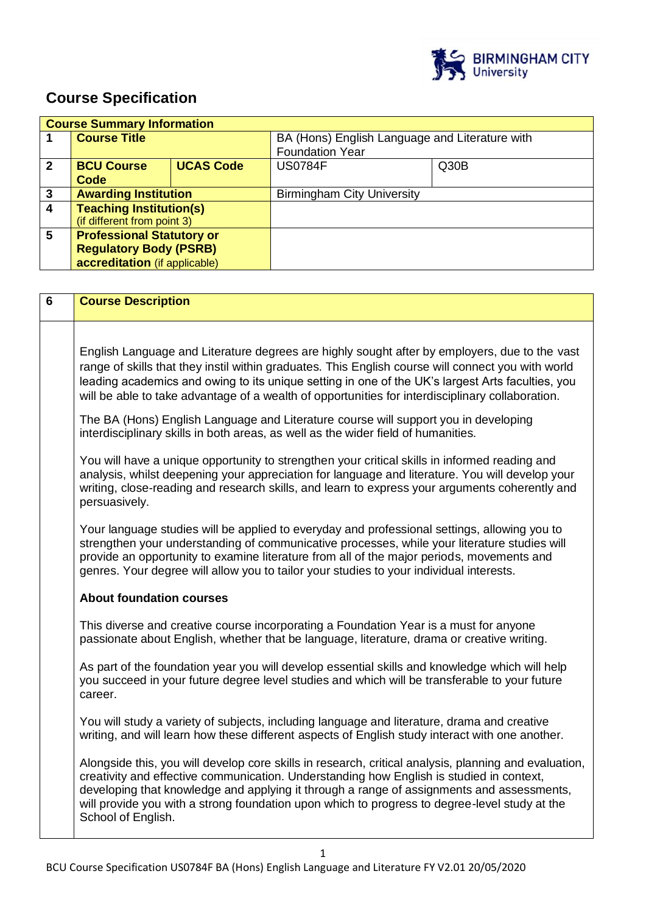

# **Course Specification**

|                         | <b>Course Summary Information</b>                                                                                                                                                                 |                  |                                                                                              |                                                                                                                                                                                                        |  |
|-------------------------|---------------------------------------------------------------------------------------------------------------------------------------------------------------------------------------------------|------------------|----------------------------------------------------------------------------------------------|--------------------------------------------------------------------------------------------------------------------------------------------------------------------------------------------------------|--|
| $\mathbf 1$             | <b>Course Title</b>                                                                                                                                                                               |                  |                                                                                              | BA (Hons) English Language and Literature with                                                                                                                                                         |  |
|                         |                                                                                                                                                                                                   |                  | <b>Foundation Year</b>                                                                       |                                                                                                                                                                                                        |  |
| $\mathbf{2}$            | <b>BCU Course</b><br><b>Code</b>                                                                                                                                                                  | <b>UCAS Code</b> | <b>US0784F</b>                                                                               | Q30B                                                                                                                                                                                                   |  |
| $\mathbf{3}$            | <b>Awarding Institution</b>                                                                                                                                                                       |                  |                                                                                              |                                                                                                                                                                                                        |  |
| $\overline{\mathbf{4}}$ | <b>Teaching Institution(s)</b>                                                                                                                                                                    |                  | <b>Birmingham City University</b>                                                            |                                                                                                                                                                                                        |  |
|                         | (if different from point 3)                                                                                                                                                                       |                  |                                                                                              |                                                                                                                                                                                                        |  |
| $5\phantom{1}$          | <b>Professional Statutory or</b>                                                                                                                                                                  |                  |                                                                                              |                                                                                                                                                                                                        |  |
|                         | <b>Regulatory Body (PSRB)</b>                                                                                                                                                                     |                  |                                                                                              |                                                                                                                                                                                                        |  |
|                         | accreditation (if applicable)                                                                                                                                                                     |                  |                                                                                              |                                                                                                                                                                                                        |  |
|                         |                                                                                                                                                                                                   |                  |                                                                                              |                                                                                                                                                                                                        |  |
| 6                       | <b>Course Description</b>                                                                                                                                                                         |                  |                                                                                              |                                                                                                                                                                                                        |  |
|                         |                                                                                                                                                                                                   |                  |                                                                                              |                                                                                                                                                                                                        |  |
|                         |                                                                                                                                                                                                   |                  |                                                                                              |                                                                                                                                                                                                        |  |
|                         |                                                                                                                                                                                                   |                  |                                                                                              | English Language and Literature degrees are highly sought after by employers, due to the vast                                                                                                          |  |
|                         |                                                                                                                                                                                                   |                  |                                                                                              | range of skills that they instil within graduates. This English course will connect you with world<br>leading academics and owing to its unique setting in one of the UK's largest Arts faculties, you |  |
|                         |                                                                                                                                                                                                   |                  |                                                                                              | will be able to take advantage of a wealth of opportunities for interdisciplinary collaboration.                                                                                                       |  |
|                         |                                                                                                                                                                                                   |                  |                                                                                              |                                                                                                                                                                                                        |  |
|                         |                                                                                                                                                                                                   |                  |                                                                                              | The BA (Hons) English Language and Literature course will support you in developing                                                                                                                    |  |
|                         |                                                                                                                                                                                                   |                  | interdisciplinary skills in both areas, as well as the wider field of humanities.            |                                                                                                                                                                                                        |  |
|                         |                                                                                                                                                                                                   |                  |                                                                                              |                                                                                                                                                                                                        |  |
|                         | You will have a unique opportunity to strengthen your critical skills in informed reading and                                                                                                     |                  |                                                                                              |                                                                                                                                                                                                        |  |
|                         | analysis, whilst deepening your appreciation for language and literature. You will develop your<br>writing, close-reading and research skills, and learn to express your arguments coherently and |                  |                                                                                              |                                                                                                                                                                                                        |  |
|                         | persuasively.                                                                                                                                                                                     |                  |                                                                                              |                                                                                                                                                                                                        |  |
|                         |                                                                                                                                                                                                   |                  |                                                                                              |                                                                                                                                                                                                        |  |
|                         |                                                                                                                                                                                                   |                  |                                                                                              | Your language studies will be applied to everyday and professional settings, allowing you to                                                                                                           |  |
|                         |                                                                                                                                                                                                   |                  | strengthen your understanding of communicative processes, while your literature studies will |                                                                                                                                                                                                        |  |
|                         |                                                                                                                                                                                                   |                  |                                                                                              | provide an opportunity to examine literature from all of the major periods, movements and                                                                                                              |  |
|                         | genres. Your degree will allow you to tailor your studies to your individual interests.                                                                                                           |                  |                                                                                              |                                                                                                                                                                                                        |  |
|                         | <b>About foundation courses</b>                                                                                                                                                                   |                  |                                                                                              |                                                                                                                                                                                                        |  |
|                         |                                                                                                                                                                                                   |                  |                                                                                              |                                                                                                                                                                                                        |  |
|                         |                                                                                                                                                                                                   |                  |                                                                                              | This diverse and creative course incorporating a Foundation Year is a must for anyone                                                                                                                  |  |
|                         |                                                                                                                                                                                                   |                  |                                                                                              | passionate about English, whether that be language, literature, drama or creative writing.                                                                                                             |  |
|                         |                                                                                                                                                                                                   |                  |                                                                                              | As part of the foundation year you will develop essential skills and knowledge which will help                                                                                                         |  |
|                         |                                                                                                                                                                                                   |                  |                                                                                              |                                                                                                                                                                                                        |  |
|                         | you succeed in your future degree level studies and which will be transferable to your future<br>career.                                                                                          |                  |                                                                                              |                                                                                                                                                                                                        |  |
|                         |                                                                                                                                                                                                   |                  |                                                                                              |                                                                                                                                                                                                        |  |
|                         | You will study a variety of subjects, including language and literature, drama and creative                                                                                                       |                  |                                                                                              |                                                                                                                                                                                                        |  |
|                         |                                                                                                                                                                                                   |                  |                                                                                              | writing, and will learn how these different aspects of English study interact with one another.                                                                                                        |  |
|                         |                                                                                                                                                                                                   |                  |                                                                                              | Alongside this, you will develop core skills in research, critical analysis, planning and evaluation,                                                                                                  |  |
|                         |                                                                                                                                                                                                   |                  |                                                                                              | creativity and effective communication. Understanding how English is studied in context,                                                                                                               |  |
|                         |                                                                                                                                                                                                   |                  |                                                                                              | developing that knowledge and applying it through a range of assignments and assessments,                                                                                                              |  |
|                         |                                                                                                                                                                                                   |                  |                                                                                              | will provide you with a strong foundation upon which to progress to degree-level study at the                                                                                                          |  |
|                         | School of English.                                                                                                                                                                                |                  |                                                                                              |                                                                                                                                                                                                        |  |
|                         |                                                                                                                                                                                                   |                  |                                                                                              |                                                                                                                                                                                                        |  |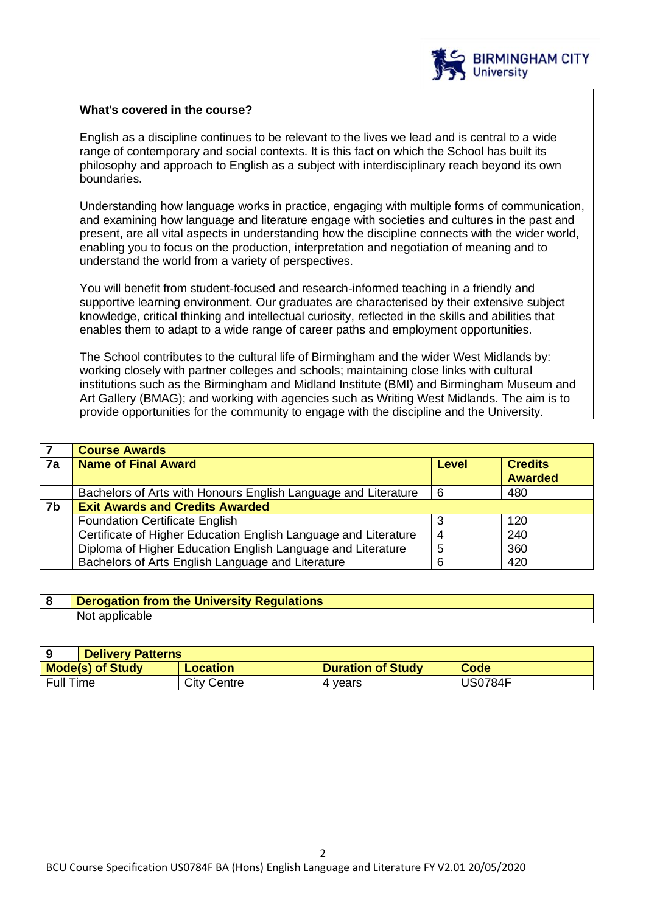

## **What's covered in the course?**

English as a discipline continues to be relevant to the lives we lead and is central to a wide range of contemporary and social contexts. It is this fact on which the School has built its philosophy and approach to English as a subject with interdisciplinary reach beyond its own boundaries.

Understanding how language works in practice, engaging with multiple forms of communication, and examining how language and literature engage with societies and cultures in the past and present, are all vital aspects in understanding how the discipline connects with the wider world, enabling you to focus on the production, interpretation and negotiation of meaning and to understand the world from a variety of perspectives.

You will benefit from student-focused and research-informed teaching in a friendly and supportive learning environment. Our graduates are characterised by their extensive subject knowledge, critical thinking and intellectual curiosity, reflected in the skills and abilities that enables them to adapt to a wide range of career paths and employment opportunities.

The School contributes to the cultural life of Birmingham and the wider West Midlands by: working closely with partner colleges and schools; maintaining close links with cultural institutions such as the Birmingham and Midland Institute (BMI) and Birmingham Museum and Art Gallery (BMAG); and working with agencies such as Writing West Midlands. The aim is to provide opportunities for the community to engage with the discipline and the University.

|    | <b>Course Awards</b>                                            |              |                |  |  |  |
|----|-----------------------------------------------------------------|--------------|----------------|--|--|--|
| 7a | <b>Name of Final Award</b>                                      | <b>Level</b> | <b>Credits</b> |  |  |  |
|    |                                                                 |              | <b>Awarded</b> |  |  |  |
|    | Bachelors of Arts with Honours English Language and Literature  | 6            | 480            |  |  |  |
| 7b | <b>Exit Awards and Credits Awarded</b>                          |              |                |  |  |  |
|    | <b>Foundation Certificate English</b>                           |              | 120            |  |  |  |
|    | Certificate of Higher Education English Language and Literature | 4            | 240            |  |  |  |
|    | Diploma of Higher Education English Language and Literature     | 5            | 360            |  |  |  |
|    | Bachelors of Arts English Language and Literature               | 6            | 420            |  |  |  |

| Derogation from the University Regulations |
|--------------------------------------------|
| <b>Not</b>                                 |

|                         | <b>Delivery Patterns</b> |                    |                          |                |  |
|-------------------------|--------------------------|--------------------|--------------------------|----------------|--|
| <b>Mode(s) of Study</b> |                          | <b>Location</b>    | <b>Duration of Study</b> | Code           |  |
| <b>Full Time</b>        |                          | <b>City Centre</b> | 4 vears                  | <b>JS0784F</b> |  |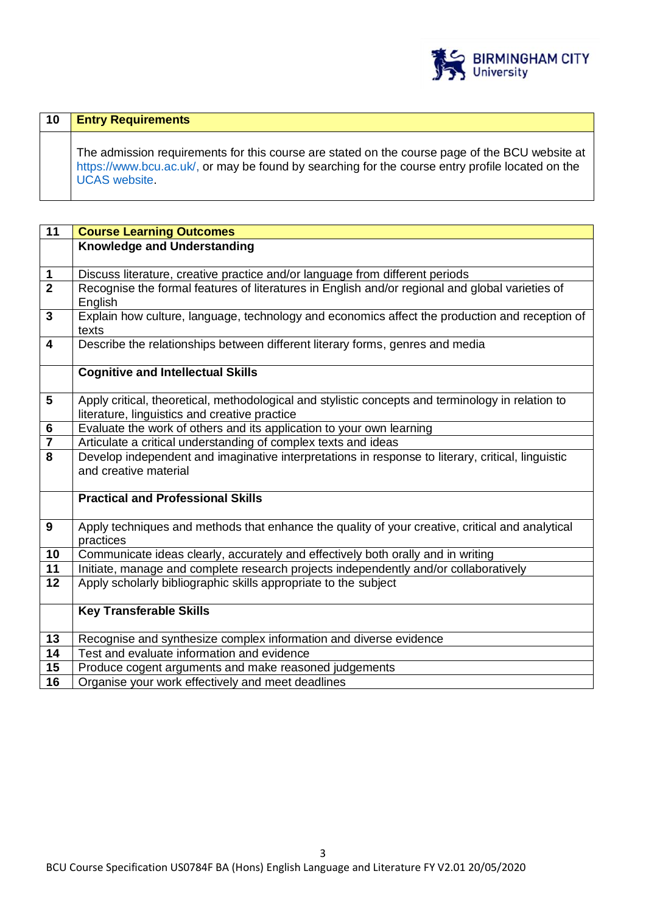

| 10 | <b>Entry Requirements</b>                                                                                                                                                                                                  |
|----|----------------------------------------------------------------------------------------------------------------------------------------------------------------------------------------------------------------------------|
|    | The admission requirements for this course are stated on the course page of the BCU website at<br>https://www.bcu.ac.uk/, or may be found by searching for the course entry profile located on the<br><b>UCAS</b> website. |

| $\overline{11}$         | <b>Course Learning Outcomes</b>                                                                   |
|-------------------------|---------------------------------------------------------------------------------------------------|
|                         | <b>Knowledge and Understanding</b>                                                                |
|                         |                                                                                                   |
| $\mathbf 1$             | Discuss literature, creative practice and/or language from different periods                      |
| $\overline{2}$          | Recognise the formal features of literatures in English and/or regional and global varieties of   |
|                         | English                                                                                           |
| $\overline{\mathbf{3}}$ | Explain how culture, language, technology and economics affect the production and reception of    |
|                         | texts                                                                                             |
| 4                       | Describe the relationships between different literary forms, genres and media                     |
|                         |                                                                                                   |
|                         | <b>Cognitive and Intellectual Skills</b>                                                          |
| 5                       | Apply critical, theoretical, methodological and stylistic concepts and terminology in relation to |
|                         | literature, linguistics and creative practice                                                     |
| 6                       | Evaluate the work of others and its application to your own learning                              |
| $\overline{7}$          | Articulate a critical understanding of complex texts and ideas                                    |
| 8                       | Develop independent and imaginative interpretations in response to literary, critical, linguistic |
|                         | and creative material                                                                             |
|                         |                                                                                                   |
|                         | <b>Practical and Professional Skills</b>                                                          |
|                         |                                                                                                   |
| 9                       | Apply techniques and methods that enhance the quality of your creative, critical and analytical   |
|                         | practices                                                                                         |
| 10                      | Communicate ideas clearly, accurately and effectively both orally and in writing                  |
| 11                      | Initiate, manage and complete research projects independently and/or collaboratively              |
| 12                      | Apply scholarly bibliographic skills appropriate to the subject                                   |
|                         | <b>Key Transferable Skills</b>                                                                    |
|                         |                                                                                                   |
| 13                      | Recognise and synthesize complex information and diverse evidence                                 |
| 14                      | Test and evaluate information and evidence                                                        |
| $\overline{15}$         | Produce cogent arguments and make reasoned judgements                                             |
| 16                      | Organise your work effectively and meet deadlines                                                 |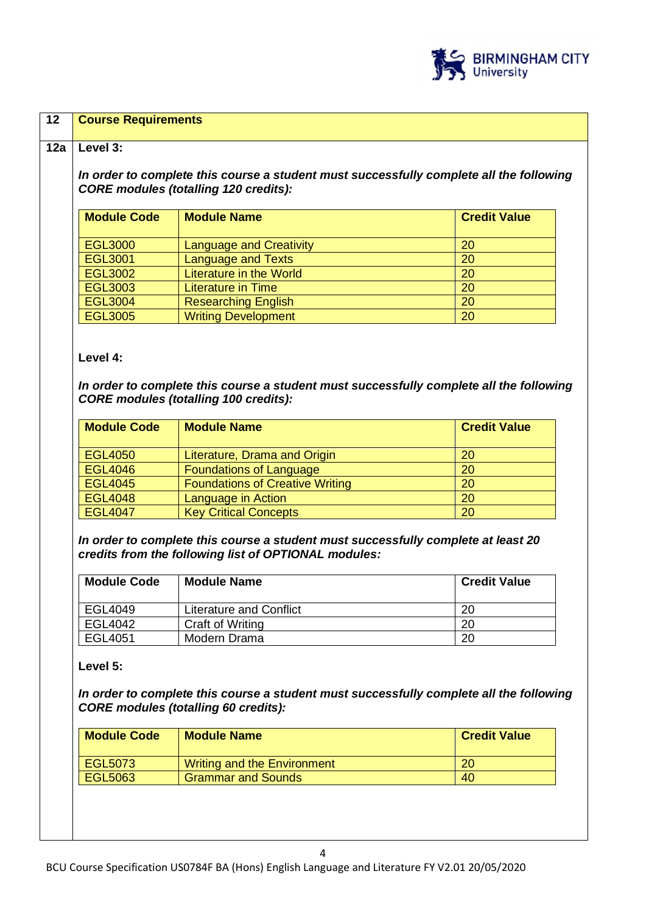

| Level 3:                                               |                                                                                                                                                        |                                 |
|--------------------------------------------------------|--------------------------------------------------------------------------------------------------------------------------------------------------------|---------------------------------|
|                                                        | In order to complete this course a student must successfully complete all the following                                                                |                                 |
|                                                        | <b>CORE modules (totalling 120 credits):</b>                                                                                                           |                                 |
| <b>Module Code</b>                                     | <b>Module Name</b>                                                                                                                                     | <b>Credit Value</b>             |
| <b>EGL3000</b>                                         | <b>Language and Creativity</b>                                                                                                                         | 20                              |
| <b>EGL3001</b>                                         | <b>Language and Texts</b>                                                                                                                              | 20                              |
| <b>EGL3002</b>                                         | <b>Literature in the World</b>                                                                                                                         | 20                              |
| <b>EGL3003</b>                                         | <b>Literature in Time</b>                                                                                                                              | 20                              |
| <b>EGL3004</b>                                         | <b>Researching English</b>                                                                                                                             | 20                              |
| <b>EGL3005</b>                                         | <b>Writing Development</b>                                                                                                                             | 20                              |
| <b>Module Code</b>                                     | <b>Module Name</b>                                                                                                                                     | <b>Credit Value</b>             |
|                                                        | Literature, Drama and Origin                                                                                                                           | 20                              |
|                                                        |                                                                                                                                                        |                                 |
| <b>EGL4050</b>                                         |                                                                                                                                                        |                                 |
| <b>EGL4046</b>                                         | <b>Foundations of Language</b>                                                                                                                         | 20                              |
|                                                        | <b>Foundations of Creative Writing</b>                                                                                                                 | 20                              |
| <b>EGL4047</b>                                         | Language in Action<br><b>Key Critical Concepts</b><br>In order to complete this course a student must successfully complete at least 20                | 20<br>20                        |
| <b>EGL4045</b><br><b>EGL4048</b><br><b>Module Code</b> | credits from the following list of OPTIONAL modules:<br><b>Module Name</b>                                                                             |                                 |
| EGL4049                                                | <b>Literature and Conflict</b>                                                                                                                         | <b>Credit Value</b><br>20       |
| EGL4042                                                | Craft of Writing                                                                                                                                       | 20                              |
| EGL4051<br>Level 5:                                    | Modern Drama<br>In order to complete this course a student must successfully complete all the following<br><b>CORE modules (totalling 60 credits):</b> | 20                              |
| <b>Module Code</b>                                     | <b>Module Name</b>                                                                                                                                     |                                 |
| <b>EGL5073</b><br><b>EGL5063</b>                       | <b>Writing and the Environment</b><br><b>Grammar and Sounds</b>                                                                                        | <b>Credit Value</b><br>20<br>40 |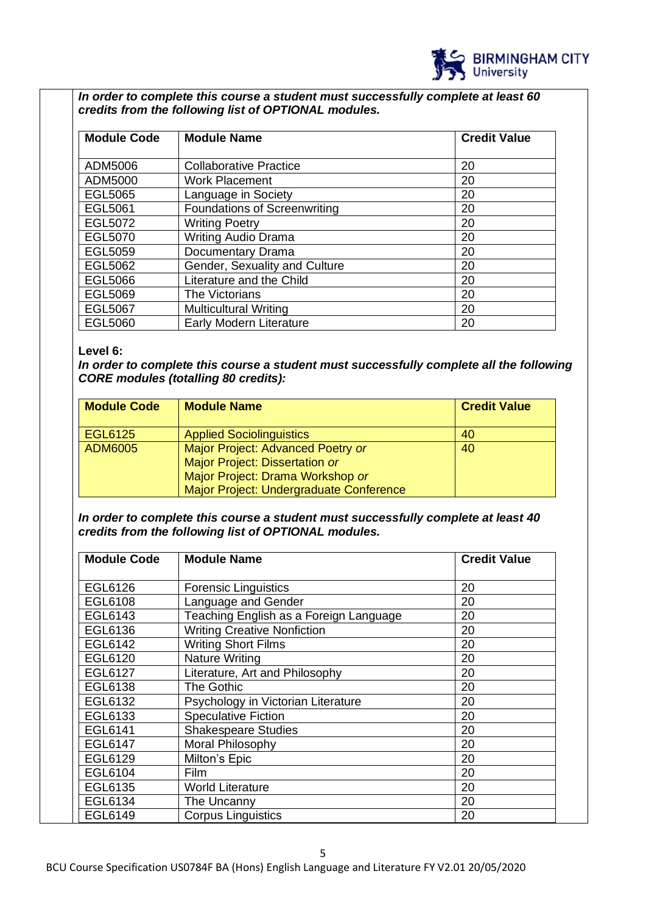

*In order to complete this course a student must successfully complete at least 60 credits from the following list of OPTIONAL modules.* 

| <b>Module Code</b><br><b>Module Name</b> |                                     | <b>Credit Value</b> |
|------------------------------------------|-------------------------------------|---------------------|
| ADM5006                                  | <b>Collaborative Practice</b>       | 20                  |
| ADM5000                                  | <b>Work Placement</b>               | 20                  |
| EGL5065                                  | Language in Society                 | 20                  |
| <b>EGL5061</b>                           | <b>Foundations of Screenwriting</b> | 20                  |
| EGL5072                                  | <b>Writing Poetry</b>               | 20                  |
| EGL5070                                  | <b>Writing Audio Drama</b>          | 20                  |
| EGL5059                                  | Documentary Drama                   | 20                  |
| EGL5062                                  | Gender, Sexuality and Culture       | 20                  |
| <b>EGL5066</b>                           | Literature and the Child            | 20                  |
| EGL5069                                  | The Victorians                      | 20                  |
| <b>EGL5067</b>                           | <b>Multicultural Writing</b>        | 20                  |
| <b>EGL5060</b>                           | <b>Early Modern Literature</b>      | 20                  |

#### **Level 6:**

*In order to complete this course a student must successfully complete all the following CORE modules (totalling 80 credits):*

| <b>Module Code</b> | <b>Module Name</b>                      | <b>Credit Value</b> |
|--------------------|-----------------------------------------|---------------------|
| EGL6125            | <b>Applied Sociolinguistics</b>         | 40                  |
| <b>ADM6005</b>     | Major Project: Advanced Poetry or       | 40                  |
|                    | Major Project: Dissertation or          |                     |
|                    | Major Project: Drama Workshop or        |                     |
|                    | Major Project: Undergraduate Conference |                     |

*In order to complete this course a student must successfully complete at least 40 credits from the following list of OPTIONAL modules.* 

| <b>Module Code</b> | <b>Module Name</b>                     | <b>Credit Value</b> |
|--------------------|----------------------------------------|---------------------|
|                    |                                        |                     |
| EGL6126            | <b>Forensic Linguistics</b>            | 20                  |
| <b>EGL6108</b>     | Language and Gender                    | 20                  |
| EGL6143            | Teaching English as a Foreign Language | 20                  |
| EGL6136            | <b>Writing Creative Nonfiction</b>     | 20                  |
| <b>EGL6142</b>     | <b>Writing Short Films</b>             | 20                  |
| <b>EGL6120</b>     | <b>Nature Writing</b>                  | 20                  |
| <b>EGL6127</b>     | Literature, Art and Philosophy         | 20                  |
| <b>EGL6138</b>     | The Gothic                             | 20                  |
| EGL6132            | Psychology in Victorian Literature     | 20                  |
| EGL6133            | <b>Speculative Fiction</b>             | 20                  |
| EGL6141            | <b>Shakespeare Studies</b>             | 20                  |
| <b>EGL6147</b>     | Moral Philosophy                       | 20                  |
| EGL6129            | Milton's Epic                          | 20                  |
| EGL6104            | Film                                   | 20                  |
| EGL6135            | <b>World Literature</b>                | 20                  |
| EGL6134            | The Uncanny                            | 20                  |
| EGL6149            | <b>Corpus Linguistics</b>              | 20                  |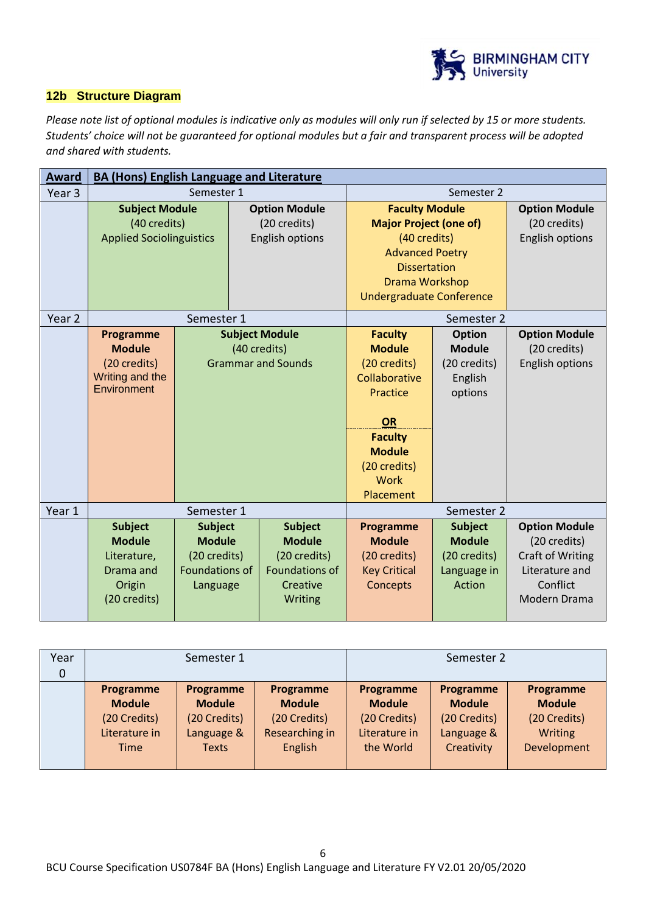

# **12b Structure Diagram**

*Please note list of optional modules is indicative only as modules will only run if selected by 15 or more students. Students' choice will not be guaranteed for optional modules but a fair and transparent process will be adopted and shared with students.* 

| <b>Award</b>      |                                                                                       | <b>BA (Hons) English Language and Literature</b>                              |                                                                                                 |                                                                                                                                                                              |                                                                          |                                                                                                               |
|-------------------|---------------------------------------------------------------------------------------|-------------------------------------------------------------------------------|-------------------------------------------------------------------------------------------------|------------------------------------------------------------------------------------------------------------------------------------------------------------------------------|--------------------------------------------------------------------------|---------------------------------------------------------------------------------------------------------------|
| Year <sub>3</sub> |                                                                                       | Semester 1                                                                    |                                                                                                 | Semester 2                                                                                                                                                                   |                                                                          |                                                                                                               |
|                   | <b>Subject Module</b><br>(40 credits)<br><b>Applied Sociolinguistics</b>              |                                                                               | <b>Option Module</b><br>(20 credits)<br><b>English options</b>                                  | <b>Faculty Module</b><br><b>Major Project (one of)</b><br>(40 credits)<br><b>Advanced Poetry</b><br><b>Dissertation</b><br>Drama Workshop<br><b>Undergraduate Conference</b> |                                                                          | <b>Option Module</b><br>(20 credits)<br><b>English options</b>                                                |
| Year <sub>2</sub> |                                                                                       | Semester 1                                                                    |                                                                                                 |                                                                                                                                                                              | Semester 2                                                               |                                                                                                               |
|                   | Programme<br><b>Module</b><br>(20 credits)<br>Writing and the<br>Environment          | <b>Subject Module</b><br>(40 credits)<br><b>Grammar and Sounds</b>            |                                                                                                 | <b>Faculty</b><br><b>Module</b><br>(20 credits)<br>Collaborative<br>Practice<br>OR<br><b>Faculty</b><br><b>Module</b><br>(20 credits)<br><b>Work</b><br>Placement            | <b>Option</b><br><b>Module</b><br>(20 credits)<br>English<br>options     | <b>Option Module</b><br>(20 credits)<br><b>English options</b>                                                |
| Year 1            |                                                                                       | Semester 1                                                                    |                                                                                                 |                                                                                                                                                                              | Semester 2                                                               |                                                                                                               |
|                   | <b>Subject</b><br><b>Module</b><br>Literature,<br>Drama and<br>Origin<br>(20 credits) | <b>Subject</b><br><b>Module</b><br>(20 credits)<br>Foundations of<br>Language | <b>Subject</b><br><b>Module</b><br>(20 credits)<br><b>Foundations of</b><br>Creative<br>Writing | Programme<br><b>Module</b><br>(20 credits)<br><b>Key Critical</b><br>Concepts                                                                                                | <b>Subject</b><br><b>Module</b><br>(20 credits)<br>Language in<br>Action | <b>Option Module</b><br>(20 credits)<br><b>Craft of Writing</b><br>Literature and<br>Conflict<br>Modern Drama |

| Year        | Semester 1    |               |                | Semester 2    |               |               |
|-------------|---------------|---------------|----------------|---------------|---------------|---------------|
| $\mathbf 0$ |               |               |                |               |               |               |
|             | Programme     | Programme     | Programme      | Programme     | Programme     | Programme     |
|             | <b>Module</b> | <b>Module</b> | <b>Module</b>  | <b>Module</b> | <b>Module</b> | <b>Module</b> |
|             | (20 Credits)  | (20 Credits)  | (20 Credits)   | (20 Credits)  | (20 Credits)  | (20 Credits)  |
|             | Literature in | Language &    | Researching in | Literature in | Language &    | Writing       |
|             | <b>Time</b>   | <b>Texts</b>  | English        | the World     | Creativity    | Development   |
|             |               |               |                |               |               |               |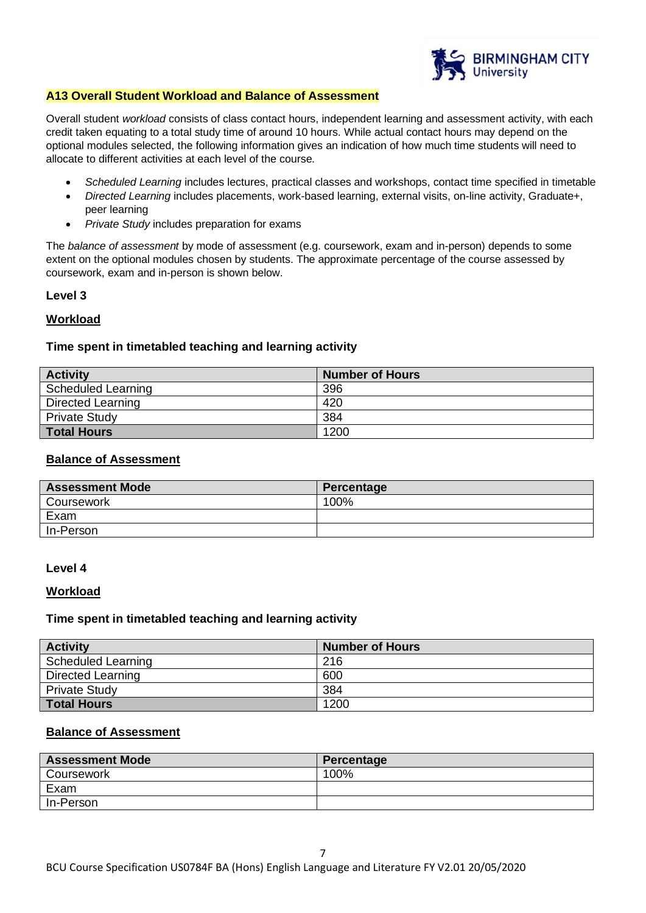

#### **A13 Overall Student Workload and Balance of Assessment**

Overall student *workload* consists of class contact hours, independent learning and assessment activity, with each credit taken equating to a total study time of around 10 hours. While actual contact hours may depend on the optional modules selected, the following information gives an indication of how much time students will need to allocate to different activities at each level of the course.

- *Scheduled Learning* includes lectures, practical classes and workshops, contact time specified in timetable
- *Directed Learning* includes placements, work-based learning, external visits, on-line activity, Graduate+, peer learning
- *Private Study* includes preparation for exams

The *balance of assessment* by mode of assessment (e.g. coursework, exam and in-person) depends to some extent on the optional modules chosen by students. The approximate percentage of the course assessed by coursework, exam and in-person is shown below.

#### **Level 3**

#### **Workload**

#### **Time spent in timetabled teaching and learning activity**

| <b>Activity</b>           | <b>Number of Hours</b> |
|---------------------------|------------------------|
| <b>Scheduled Learning</b> | 396                    |
| <b>Directed Learning</b>  | 420                    |
| <b>Private Study</b>      | 384                    |
| <b>Total Hours</b>        | 1200                   |

# **Balance of Assessment**

| <b>Assessment Mode</b> | Percentage |
|------------------------|------------|
| Coursework             | 100%       |
| Exam                   |            |
| In-Person              |            |

#### **Level 4**

#### **Workload**

#### **Time spent in timetabled teaching and learning activity**

| <b>Activity</b>           | <b>Number of Hours</b> |
|---------------------------|------------------------|
| <b>Scheduled Learning</b> | 216                    |
| <b>Directed Learning</b>  | 600                    |
| <b>Private Study</b>      | 384                    |
| <b>Total Hours</b>        | 1200                   |

# **Balance of Assessment**

| <b>Assessment Mode</b> | Percentage |
|------------------------|------------|
| Coursework             | 100%       |
| Exam                   |            |
| In-Person              |            |